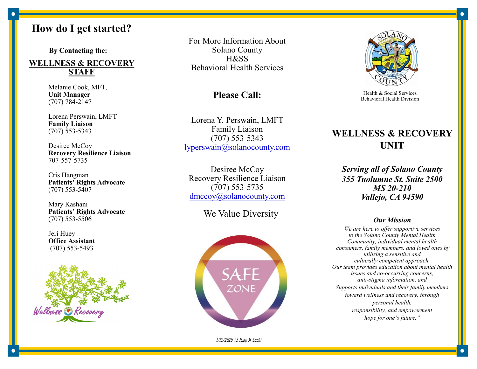# **How do I get started?**

 **By Contacting the:**

#### **WELLNESS & RECOVERY STAFF**

Melanie Cook, MFT, **Unit Manager**  (707) 784-2147

Lorena Perswain, LMFT **Family Liaison** (707) 553-5343

Desiree McCoy **Recovery Resilience Liaison** 707-557-5735

Cris Hangman **Patients' Rights Advocate** (707) 553-5407

Mary Kashani **Patients' Rights Advocate** (707) 553-5506

Jeri Huey **Office Assistant**  (707) 553-5493



For More Information About Solano County H&SS Behavioral Health Services

#### **Please Call:**

Lorena Y. Perswain, LMFT Family Liaison (707) 553-5343 lyperswain@solanocounty.com

Desiree McCoy Recovery Resilience Liaison (707) 553-5735 dmccoy@solanocounty.com

We Value Diversity



1/13/2020 (J. Huey, M. Cook)



Health & Social Services Behavioral Health Division

## **WELLNESS & RECOVERY UNIT**

*Serving all of Solano County 355 Tuolumne St. Suite 2500 MS 20-210 Vallejo, CA 94590*

#### *Our Mission*

*We are here to offer supportive services to the Solano County Mental Health Community, individual mental health consumers, family members, and loved ones by utilizing a sensitive and culturally competent approach. Our team provides education about mental health issues and co-occurring concerns, anti-stigma information, and Supports individuals and their family members toward wellness and recovery, through personal health, responsibility, and empowerment hope for one's future."*